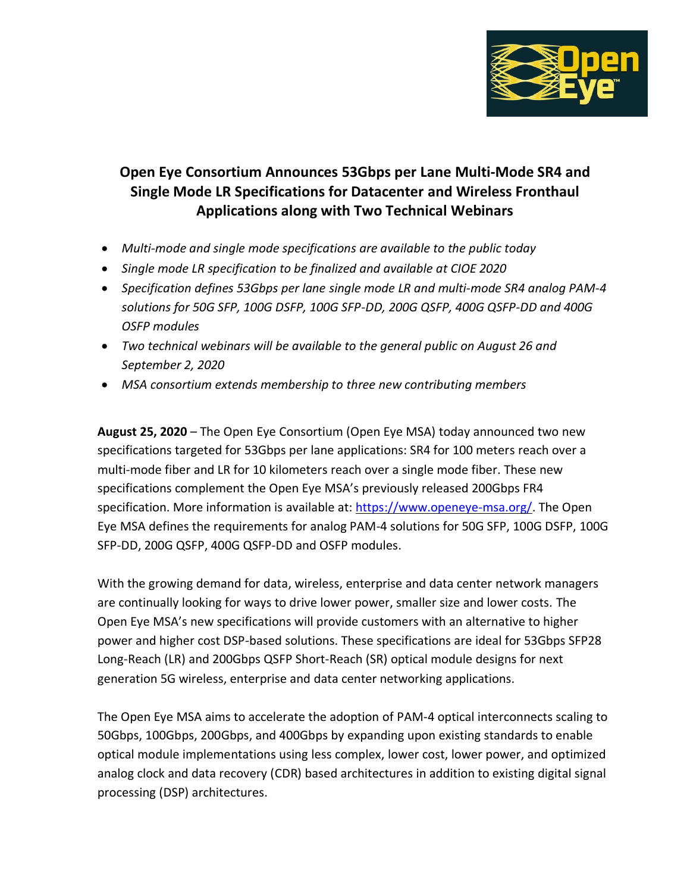

# **Open Eye Consortium Announces 53Gbps per Lane Multi-Mode SR4 and Single Mode LR Specifications for Datacenter and Wireless Fronthaul Applications along with Two Technical Webinars**

- *Multi-mode and single mode specifications are available to the public today*
- *Single mode LR specification to be finalized and available at CIOE 2020*
- *Specification defines 53Gbps per lane single mode LR and multi-mode SR4 analog PAM-4 solutions for 50G SFP, 100G DSFP, 100G SFP-DD, 200G QSFP, 400G QSFP-DD and 400G OSFP modules*
- *Two technical webinars will be available to the general public on August 26 and September 2, 2020*
- *MSA consortium extends membership to three new contributing members*

**August 25, 2020** – The Open Eye Consortium (Open Eye MSA) today announced two new specifications targeted for 53Gbps per lane applications: SR4 for 100 meters reach over a multi-mode fiber and LR for 10 kilometers reach over a single mode fiber. These new specifications complement the Open Eye MSA's previously released 200Gbps FR4 specification. More information is available at: [https://www.openeye-msa.org/.](https://www.openeye-msa.org/) The Open Eye MSA defines the requirements for analog PAM-4 solutions for 50G SFP, 100G DSFP, 100G SFP-DD, 200G QSFP, 400G QSFP-DD and OSFP modules.

With the growing demand for data, wireless, enterprise and data center network managers are continually looking for ways to drive lower power, smaller size and lower costs. The Open Eye MSA's new specifications will provide customers with an alternative to higher power and higher cost DSP-based solutions. These specifications are ideal for 53Gbps SFP28 Long-Reach (LR) and 200Gbps QSFP Short-Reach (SR) optical module designs for next generation 5G wireless, enterprise and data center networking applications.

The Open Eye MSA aims to accelerate the adoption of PAM-4 optical interconnects scaling to 50Gbps, 100Gbps, 200Gbps, and 400Gbps by expanding upon existing standards to enable optical module implementations using less complex, lower cost, lower power, and optimized analog clock and data recovery (CDR) based architectures in addition to existing digital signal processing (DSP) architectures.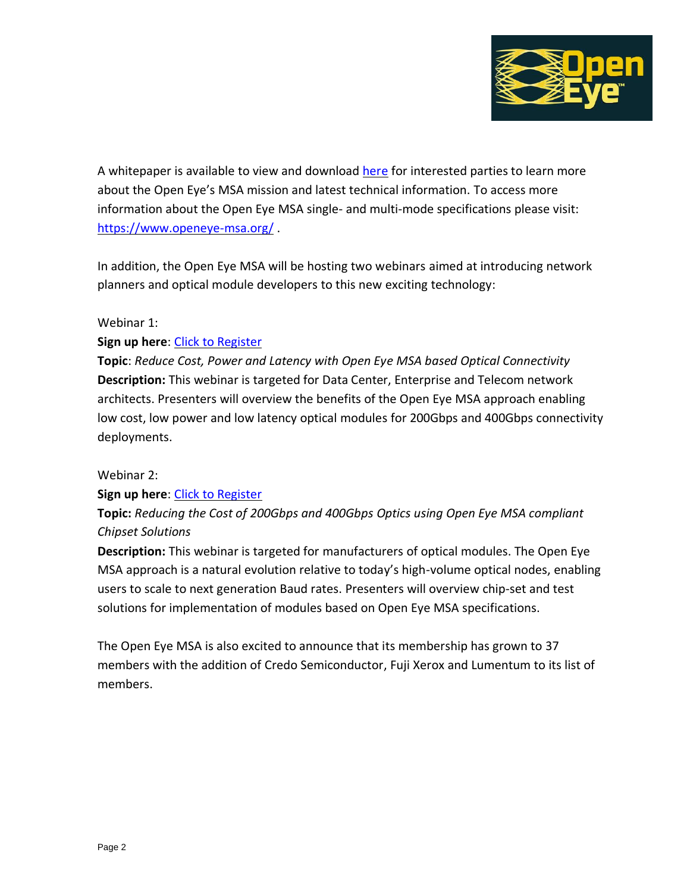

A whitepaper is available to view and download [here](https://www.openeye-msa.org/files/live/sites/msa/files/files/Open%20Eye%20Whitepaper_Rev1p0%203-4-20.pdf) for interested parties to learn more about the Open Eye's MSA mission and latest technical information. To access more information about the Open Eye MSA single- and multi-mode specifications please visit: <https://www.openeye-msa.org/> .

In addition, the Open Eye MSA will be hosting two webinars aimed at introducing network planners and optical module developers to this new exciting technology:

# Webinar 1:

# **Sign up here**: [Click to Register](https://osa.zoom.us/webinar/register/WN_f-4GAAtDTcCth1aav3NZCw)

**Topic**: *Reduce Cost, Power and Latency with Open Eye MSA based Optical Connectivity* **Description:** This webinar is targeted for Data Center, Enterprise and Telecom network architects. Presenters will overview the benefits of the Open Eye MSA approach enabling low cost, low power and low latency optical modules for 200Gbps and 400Gbps connectivity deployments.

### Webinar 2:

### **Sign up here**: [Click to Register](https://osa.zoom.us/webinar/register/WN_OTKJNoEvSam8exTGMQRdBg)

**Topic:** *Reducing the Cost of 200Gbps and 400Gbps Optics using Open Eye MSA compliant Chipset Solutions*

**Description:** This webinar is targeted for manufacturers of optical modules. The Open Eye MSA approach is a natural evolution relative to today's high-volume optical nodes, enabling users to scale to next generation Baud rates. Presenters will overview chip-set and test solutions for implementation of modules based on Open Eye MSA specifications.

The Open Eye MSA is also excited to announce that its membership has grown to 37 members with the addition of Credo Semiconductor, Fuji Xerox and Lumentum to its list of members.